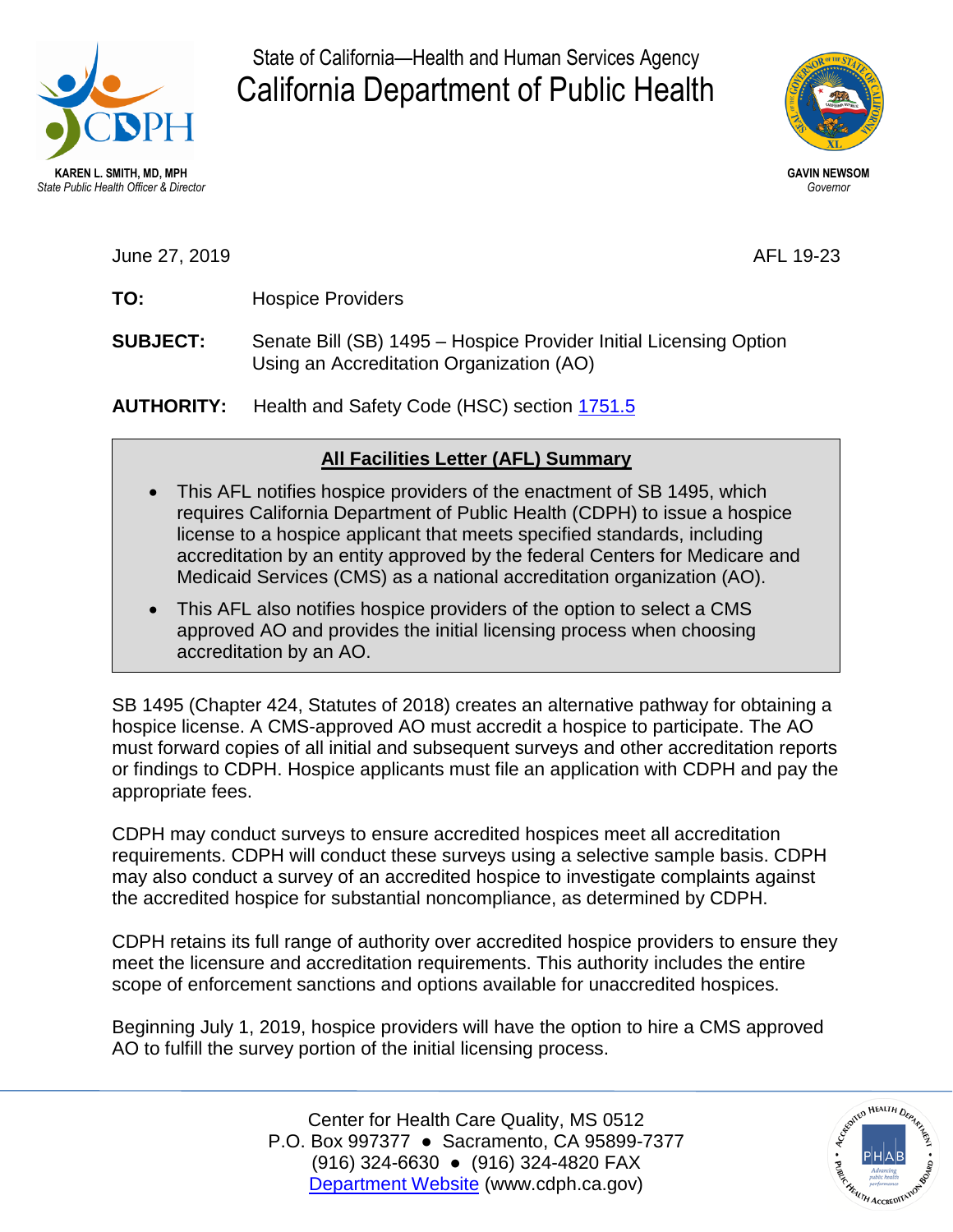

State of California—Health and Human Services Agency California Department of Public Health



June 27, 2019 AFL 19-23

- **TO:** Hospice Providers
- **SUBJECT:** Senate Bill (SB) 1495 Hospice Provider Initial Licensing Option Using an Accreditation Organization (AO)

**AUTHORITY:** Health and Safety Code (HSC) section 1751.5

## **All Facilities Letter (AFL) Summary**

- This AFL notifies hospice providers of the enactment of SB 1495, which requires California Department of Public Health (CDPH) to issue a hospice license to a hospice applicant that meets specified standards, including accreditation by an entity approved by the federal Centers for Medicare and Medicaid Services (CMS) as a national accreditation organization (AO).
- This AFL also notifies hospice providers of the option to select a CMS approved AO and provides the initial licensing process when choosing accreditation by an AO.

 or findings to CDPH. Hospice applicants must file an application with CDPH and pay the appropriate fees. SB 1495 (Chapter 424, Statutes of 2018) creates an alternative pathway for obtaining a hospice license. A CMS-approved AO must accredit a hospice to participate. The AO must forward copies of all initial and subsequent surveys and other accreditation reports

CDPH may conduct surveys to ensure accredited hospices meet all accreditation requirements. CDPH will conduct these surveys using a selective sample basis. CDPH may also conduct a survey of an accredited hospice to investigate complaints against the accredited hospice for substantial noncompliance, as determined by CDPH.

 scope of enforcement sanctions and options available for unaccredited hospices. CDPH retains its full range of authority over accredited hospice providers to ensure they meet the licensure and accreditation requirements. This authority includes the entire

 Beginning July 1, 2019, hospice providers will have the option to hire a CMS approved AO to fulfill the survey portion of the initial licensing process.

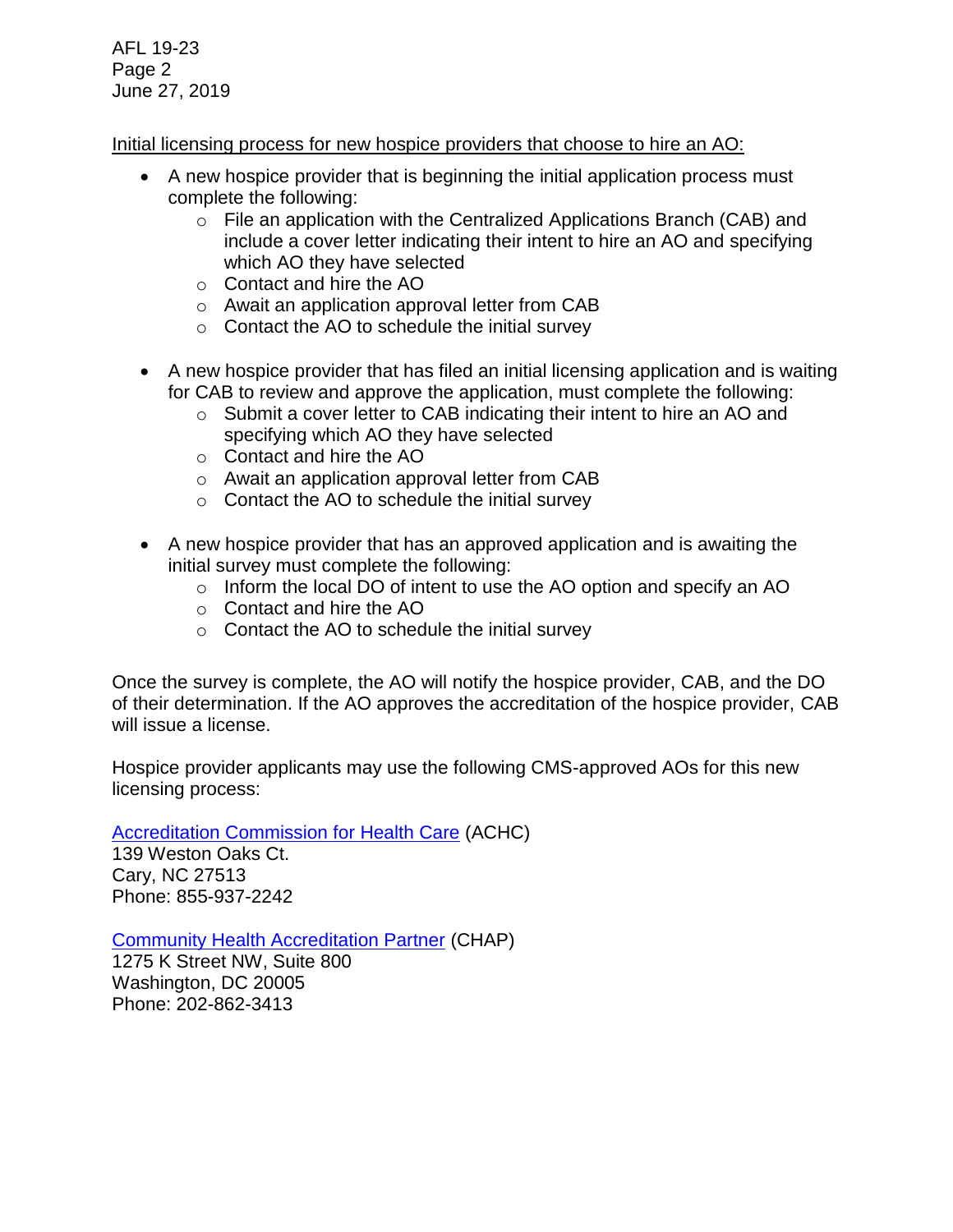AFL 19-23 Page 2 June 27, 2019

## Initial licensing process for new hospice providers that choose to hire an AO:

- complete the following: A new hospice provider that is beginning the initial application process must
	- o File an application with the Centralized Applications Branch (CAB) and include a cover letter indicating their intent to hire an AO and specifying which AO they have selected
	- o Contact and hire the AO
	- o Await an application approval letter from CAB
	- o Contact the AO to schedule the initial survey
- A new hospice provider that has filed an initial licensing application and is waiting for CAB to review and approve the application, must complete the following:
	- o Submit a cover letter to CAB indicating their intent to hire an AO and specifying which AO they have selected
	- o Contact and hire the AO
	- o Await an application approval letter from CAB
	- o Contact the AO to schedule the initial survey
- initial survey must complete the following: A new hospice provider that has an approved application and is awaiting the
	- $\circ$  Inform the local DO of intent to use the AO option and specify an AO
	- o Contact and hire the AO
	- $\circ$  Contact the AO to schedule the initial survey

 of their determination. If the AO approves the accreditation of the hospice provider, CAB Once the survey is complete, the AO will notify the hospice provider, CAB, and the DO will issue a license.

 Hospice provider applicants may use the following CMS-approved AOs for this new licensing process:

[Accreditation Commission for Health Care](http://www.achc.org/) (ACHC)

139 Weston Oaks Ct. Cary, NC 27513 Phone: 855-937-2242

[Community Health Accreditation Partner](http://www.chapinc.org/) (CHAP)

 1275 K Street NW, Suite 800 Washington, DC 20005 Phone: 202-862-3413